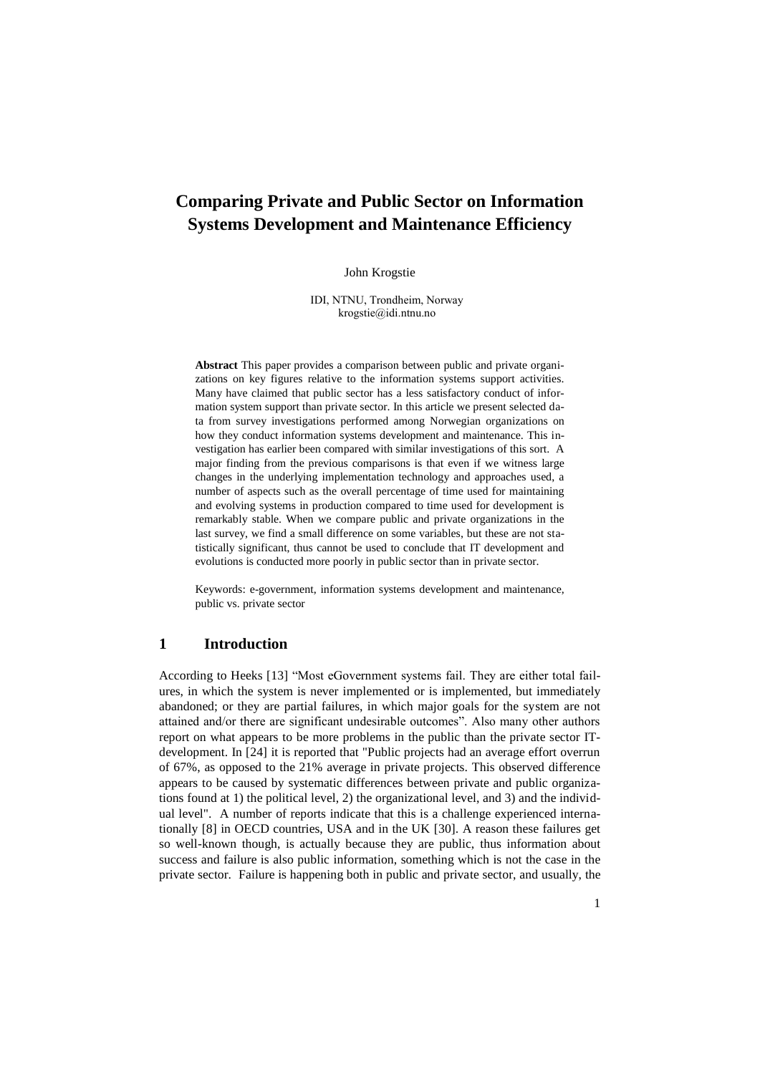# **Comparing Private and Public Sector on Information Systems Development and Maintenance Efficiency**

John Krogstie

IDI, NTNU, Trondheim, Norway krogstie@idi.ntnu.no

**Abstract** This paper provides a comparison between public and private organizations on key figures relative to the information systems support activities. Many have claimed that public sector has a less satisfactory conduct of information system support than private sector. In this article we present selected data from survey investigations performed among Norwegian organizations on how they conduct information systems development and maintenance. This investigation has earlier been compared with similar investigations of this sort. A major finding from the previous comparisons is that even if we witness large changes in the underlying implementation technology and approaches used, a number of aspects such as the overall percentage of time used for maintaining and evolving systems in production compared to time used for development is remarkably stable. When we compare public and private organizations in the last survey, we find a small difference on some variables, but these are not statistically significant, thus cannot be used to conclude that IT development and evolutions is conducted more poorly in public sector than in private sector.

Keywords: e-government, information systems development and maintenance, public vs. private sector

### **1 Introduction**

According to Heeks [13] "Most eGovernment systems fail. They are either total failures, in which the system is never implemented or is implemented, but immediately abandoned; or they are partial failures, in which major goals for the system are not attained and/or there are significant undesirable outcomes". Also many other authors report on what appears to be more problems in the public than the private sector ITdevelopment. In [24] it is reported that "Public projects had an average effort overrun of 67%, as opposed to the 21% average in private projects. This observed difference appears to be caused by systematic differences between private and public organizations found at 1) the political level, 2) the organizational level, and 3) and the individual level". A number of reports indicate that this is a challenge experienced internationally [8] in OECD countries, USA and in the UK [30]. A reason these failures get so well-known though, is actually because they are public, thus information about success and failure is also public information, something which is not the case in the private sector. Failure is happening both in public and private sector, and usually, the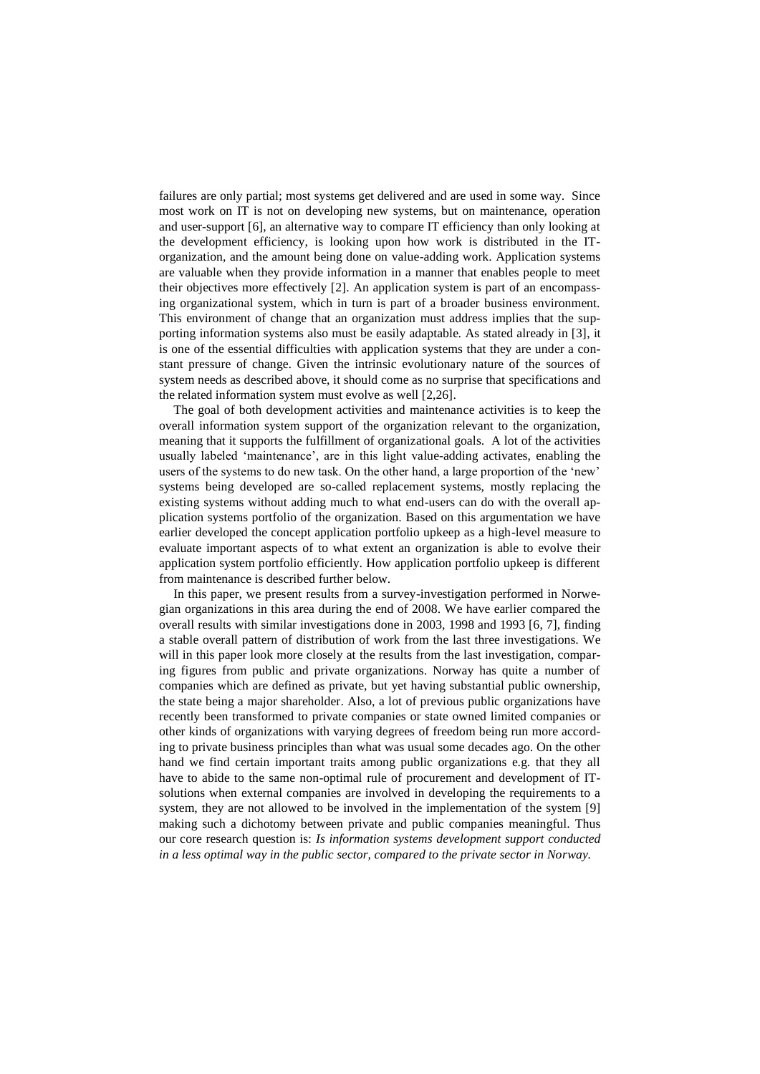failures are only partial; most systems get delivered and are used in some way. Since most work on IT is not on developing new systems, but on maintenance, operation and user-support [6], an alternative way to compare IT efficiency than only looking at the development efficiency, is looking upon how work is distributed in the ITorganization, and the amount being done on value-adding work. Application systems are valuable when they provide information in a manner that enables people to meet their objectives more effectively [2]. An application system is part of an encompassing organizational system, which in turn is part of a broader business environment. This environment of change that an organization must address implies that the supporting information systems also must be easily adaptable. As stated already in [3], it is one of the essential difficulties with application systems that they are under a constant pressure of change. Given the intrinsic evolutionary nature of the sources of system needs as described above, it should come as no surprise that specifications and the related information system must evolve as well [2,26].

The goal of both development activities and maintenance activities is to keep the overall information system support of the organization relevant to the organization, meaning that it supports the fulfillment of organizational goals. A lot of the activities usually labeled 'maintenance', are in this light value-adding activates, enabling the users of the systems to do new task. On the other hand, a large proportion of the 'new' systems being developed are so-called replacement systems, mostly replacing the existing systems without adding much to what end-users can do with the overall application systems portfolio of the organization. Based on this argumentation we have earlier developed the concept application portfolio upkeep as a high-level measure to evaluate important aspects of to what extent an organization is able to evolve their application system portfolio efficiently. How application portfolio upkeep is different from maintenance is described further below.

In this paper, we present results from a survey-investigation performed in Norwegian organizations in this area during the end of 2008. We have earlier compared the overall results with similar investigations done in 2003, 1998 and 1993 [6, 7], finding a stable overall pattern of distribution of work from the last three investigations. We will in this paper look more closely at the results from the last investigation, comparing figures from public and private organizations. Norway has quite a number of companies which are defined as private, but yet having substantial public ownership, the state being a major shareholder. Also, a lot of previous public organizations have recently been transformed to private companies or state owned limited companies or other kinds of organizations with varying degrees of freedom being run more according to private business principles than what was usual some decades ago. On the other hand we find certain important traits among public organizations e.g. that they all have to abide to the same non-optimal rule of procurement and development of ITsolutions when external companies are involved in developing the requirements to a system, they are not allowed to be involved in the implementation of the system [9] making such a dichotomy between private and public companies meaningful. Thus our core research question is: *Is information systems development support conducted in a less optimal way in the public sector, compared to the private sector in Norway.*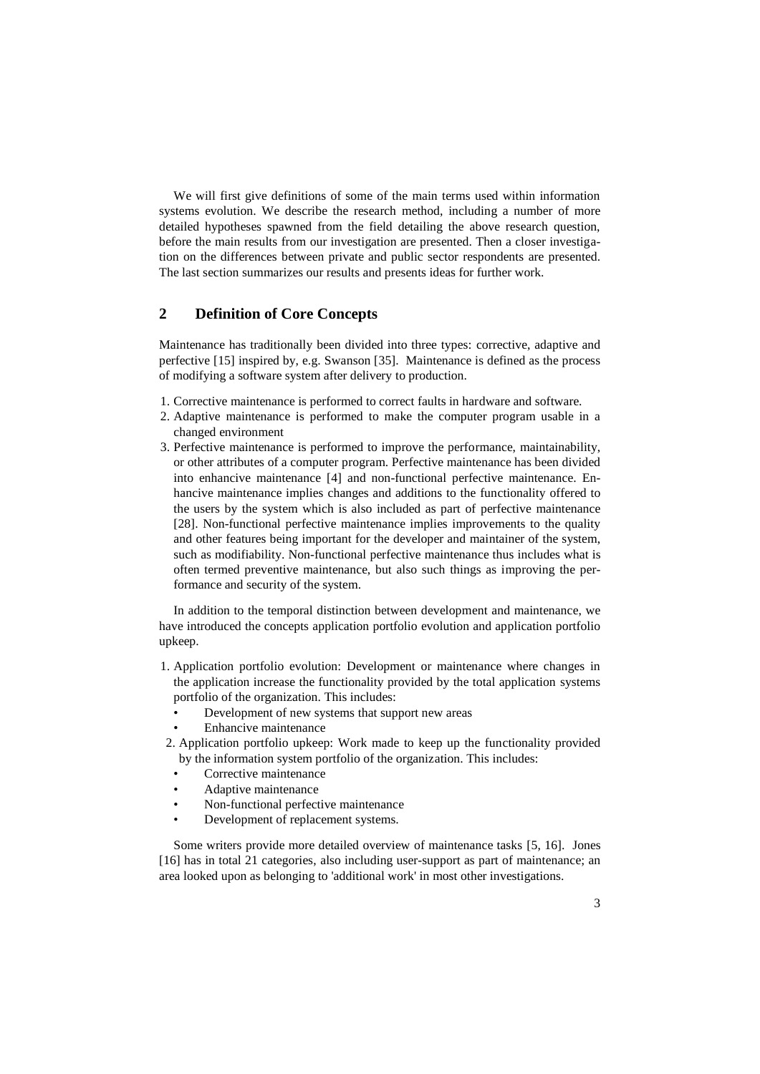We will first give definitions of some of the main terms used within information systems evolution. We describe the research method, including a number of more detailed hypotheses spawned from the field detailing the above research question, before the main results from our investigation are presented. Then a closer investigation on the differences between private and public sector respondents are presented. The last section summarizes our results and presents ideas for further work.

# **2 Definition of Core Concepts**

Maintenance has traditionally been divided into three types: corrective, adaptive and perfective [15] inspired by, e.g. Swanson [35]. Maintenance is defined as the process of modifying a software system after delivery to production.

- 1. Corrective maintenance is performed to correct faults in hardware and software.
- 2. Adaptive maintenance is performed to make the computer program usable in a changed environment
- 3. Perfective maintenance is performed to improve the performance, maintainability, or other attributes of a computer program. Perfective maintenance has been divided into enhancive maintenance [4] and non-functional perfective maintenance. Enhancive maintenance implies changes and additions to the functionality offered to the users by the system which is also included as part of perfective maintenance [28]. Non-functional perfective maintenance implies improvements to the quality and other features being important for the developer and maintainer of the system, such as modifiability. Non-functional perfective maintenance thus includes what is often termed preventive maintenance, but also such things as improving the performance and security of the system.

In addition to the temporal distinction between development and maintenance, we have introduced the concepts application portfolio evolution and application portfolio upkeep.

- 1. Application portfolio evolution: Development or maintenance where changes in the application increase the functionality provided by the total application systems portfolio of the organization. This includes:
	- Development of new systems that support new areas
	- Enhancive maintenance
- 2. Application portfolio upkeep: Work made to keep up the functionality provided by the information system portfolio of the organization. This includes:
	- Corrective maintenance
	- Adaptive maintenance
	- Non-functional perfective maintenance
	- Development of replacement systems.

Some writers provide more detailed overview of maintenance tasks [5, 16]. Jones [16] has in total 21 categories, also including user-support as part of maintenance; an area looked upon as belonging to 'additional work' in most other investigations.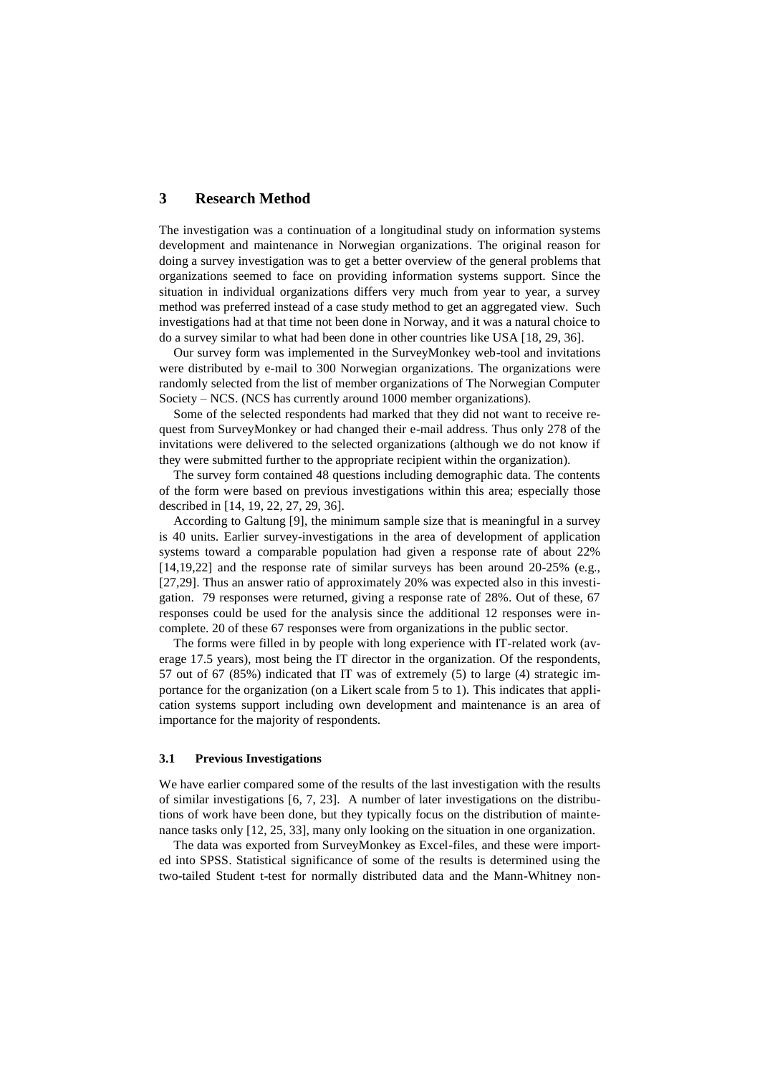# **3 Research Method**

The investigation was a continuation of a longitudinal study on information systems development and maintenance in Norwegian organizations. The original reason for doing a survey investigation was to get a better overview of the general problems that organizations seemed to face on providing information systems support. Since the situation in individual organizations differs very much from year to year, a survey method was preferred instead of a case study method to get an aggregated view. Such investigations had at that time not been done in Norway, and it was a natural choice to do a survey similar to what had been done in other countries like USA [18, 29, 36].

Our survey form was implemented in the SurveyMonkey web-tool and invitations were distributed by e-mail to 300 Norwegian organizations. The organizations were randomly selected from the list of member organizations of The Norwegian Computer Society – NCS. (NCS has currently around 1000 member organizations).

Some of the selected respondents had marked that they did not want to receive request from SurveyMonkey or had changed their e-mail address. Thus only 278 of the invitations were delivered to the selected organizations (although we do not know if they were submitted further to the appropriate recipient within the organization).

The survey form contained 48 questions including demographic data. The contents of the form were based on previous investigations within this area; especially those described in [14, 19, 22, 27, 29, 36].

According to Galtung [9], the minimum sample size that is meaningful in a survey is 40 units. Earlier survey-investigations in the area of development of application systems toward a comparable population had given a response rate of about 22% [14,19,22] and the response rate of similar surveys has been around 20-25% (e.g., [27,29]. Thus an answer ratio of approximately 20% was expected also in this investigation. 79 responses were returned, giving a response rate of 28%. Out of these, 67 responses could be used for the analysis since the additional 12 responses were incomplete. 20 of these 67 responses were from organizations in the public sector.

The forms were filled in by people with long experience with IT-related work (average 17.5 years), most being the IT director in the organization. Of the respondents, 57 out of 67 (85%) indicated that IT was of extremely (5) to large (4) strategic importance for the organization (on a Likert scale from 5 to 1). This indicates that application systems support including own development and maintenance is an area of importance for the majority of respondents.

### **3.1 Previous Investigations**

We have earlier compared some of the results of the last investigation with the results of similar investigations [6, 7, 23]. A number of later investigations on the distributions of work have been done, but they typically focus on the distribution of maintenance tasks only [12, 25, 33], many only looking on the situation in one organization.

The data was exported from SurveyMonkey as Excel-files, and these were imported into SPSS. Statistical significance of some of the results is determined using the two-tailed Student t-test for normally distributed data and the Mann-Whitney non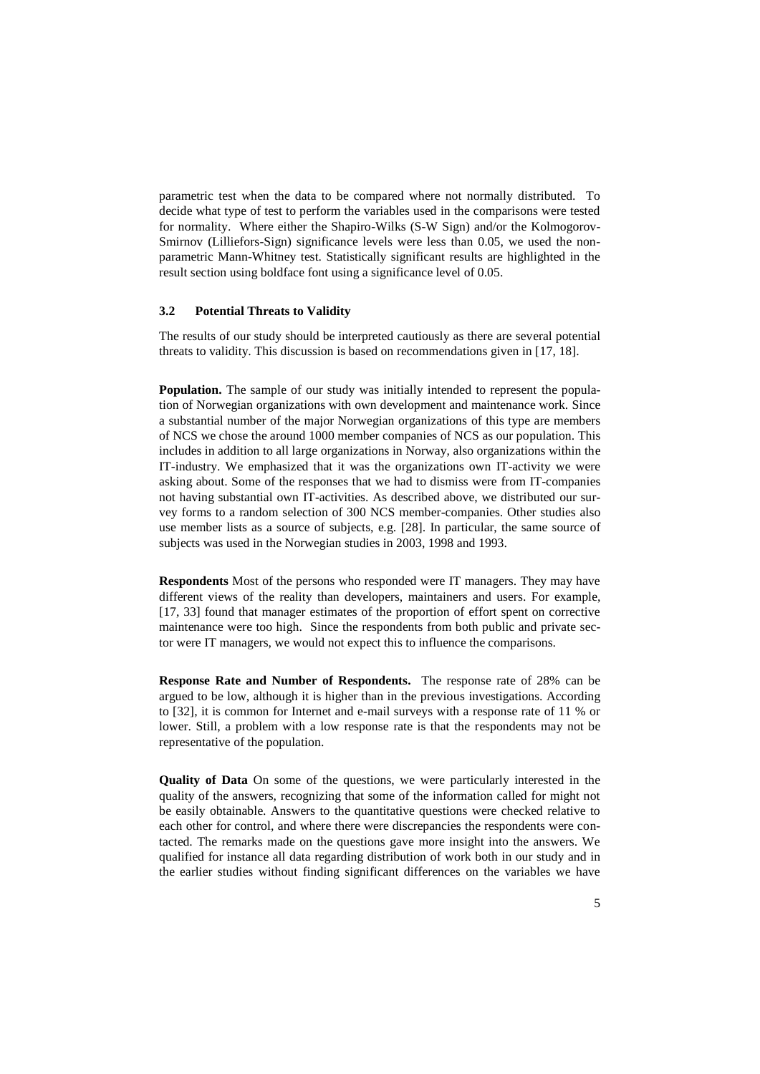parametric test when the data to be compared where not normally distributed. To decide what type of test to perform the variables used in the comparisons were tested for normality. Where either the Shapiro-Wilks (S-W Sign) and/or the Kolmogorov-Smirnov (Lilliefors-Sign) significance levels were less than 0.05, we used the nonparametric Mann-Whitney test. Statistically significant results are highlighted in the result section using boldface font using a significance level of 0.05.

#### **3.2 Potential Threats to Validity**

The results of our study should be interpreted cautiously as there are several potential threats to validity. This discussion is based on recommendations given in [17, 18].

**Population.** The sample of our study was initially intended to represent the population of Norwegian organizations with own development and maintenance work. Since a substantial number of the major Norwegian organizations of this type are members of NCS we chose the around 1000 member companies of NCS as our population. This includes in addition to all large organizations in Norway, also organizations within the IT-industry. We emphasized that it was the organizations own IT-activity we were asking about. Some of the responses that we had to dismiss were from IT-companies not having substantial own IT-activities. As described above, we distributed our survey forms to a random selection of 300 NCS member-companies. Other studies also use member lists as a source of subjects, e.g. [28]. In particular, the same source of subjects was used in the Norwegian studies in 2003, 1998 and 1993.

**Respondents** Most of the persons who responded were IT managers. They may have different views of the reality than developers, maintainers and users. For example, [17, 33] found that manager estimates of the proportion of effort spent on corrective maintenance were too high. Since the respondents from both public and private sector were IT managers, we would not expect this to influence the comparisons.

**Response Rate and Number of Respondents.** The response rate of 28% can be argued to be low, although it is higher than in the previous investigations. According to [32], it is common for Internet and e-mail surveys with a response rate of 11 % or lower. Still, a problem with a low response rate is that the respondents may not be representative of the population.

**Quality of Data** On some of the questions, we were particularly interested in the quality of the answers, recognizing that some of the information called for might not be easily obtainable. Answers to the quantitative questions were checked relative to each other for control, and where there were discrepancies the respondents were contacted. The remarks made on the questions gave more insight into the answers. We qualified for instance all data regarding distribution of work both in our study and in the earlier studies without finding significant differences on the variables we have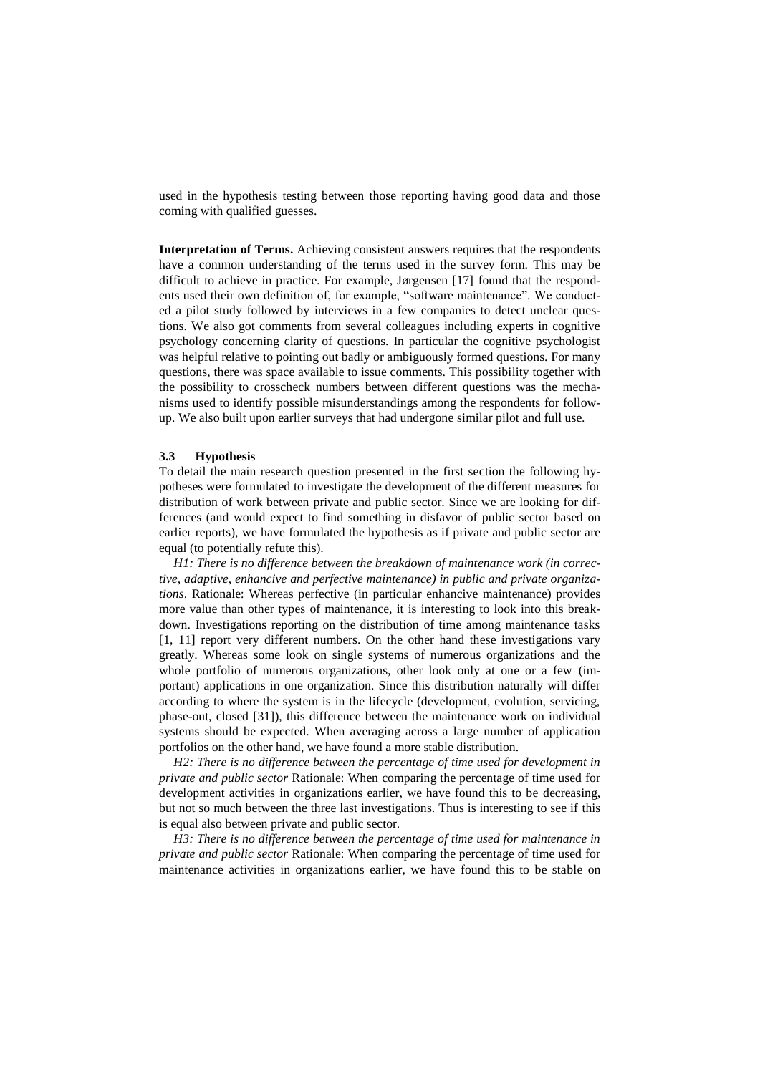used in the hypothesis testing between those reporting having good data and those coming with qualified guesses.

**Interpretation of Terms.** Achieving consistent answers requires that the respondents have a common understanding of the terms used in the survey form. This may be difficult to achieve in practice. For example, Jørgensen [17] found that the respondents used their own definition of, for example, "software maintenance". We conducted a pilot study followed by interviews in a few companies to detect unclear questions. We also got comments from several colleagues including experts in cognitive psychology concerning clarity of questions. In particular the cognitive psychologist was helpful relative to pointing out badly or ambiguously formed questions. For many questions, there was space available to issue comments. This possibility together with the possibility to crosscheck numbers between different questions was the mechanisms used to identify possible misunderstandings among the respondents for followup. We also built upon earlier surveys that had undergone similar pilot and full use.

#### **3.3 Hypothesis**

To detail the main research question presented in the first section the following hypotheses were formulated to investigate the development of the different measures for distribution of work between private and public sector. Since we are looking for differences (and would expect to find something in disfavor of public sector based on earlier reports), we have formulated the hypothesis as if private and public sector are equal (to potentially refute this).

*H1: There is no difference between the breakdown of maintenance work (in corrective, adaptive, enhancive and perfective maintenance) in public and private organizations*. Rationale: Whereas perfective (in particular enhancive maintenance) provides more value than other types of maintenance, it is interesting to look into this breakdown. Investigations reporting on the distribution of time among maintenance tasks [1, 11] report very different numbers. On the other hand these investigations vary greatly. Whereas some look on single systems of numerous organizations and the whole portfolio of numerous organizations, other look only at one or a few (important) applications in one organization. Since this distribution naturally will differ according to where the system is in the lifecycle (development, evolution, servicing, phase-out, closed [31]), this difference between the maintenance work on individual systems should be expected. When averaging across a large number of application portfolios on the other hand, we have found a more stable distribution.

*H2: There is no difference between the percentage of time used for development in private and public sector* Rationale: When comparing the percentage of time used for development activities in organizations earlier, we have found this to be decreasing, but not so much between the three last investigations. Thus is interesting to see if this is equal also between private and public sector.

*H3: There is no difference between the percentage of time used for maintenance in private and public sector* Rationale: When comparing the percentage of time used for maintenance activities in organizations earlier, we have found this to be stable on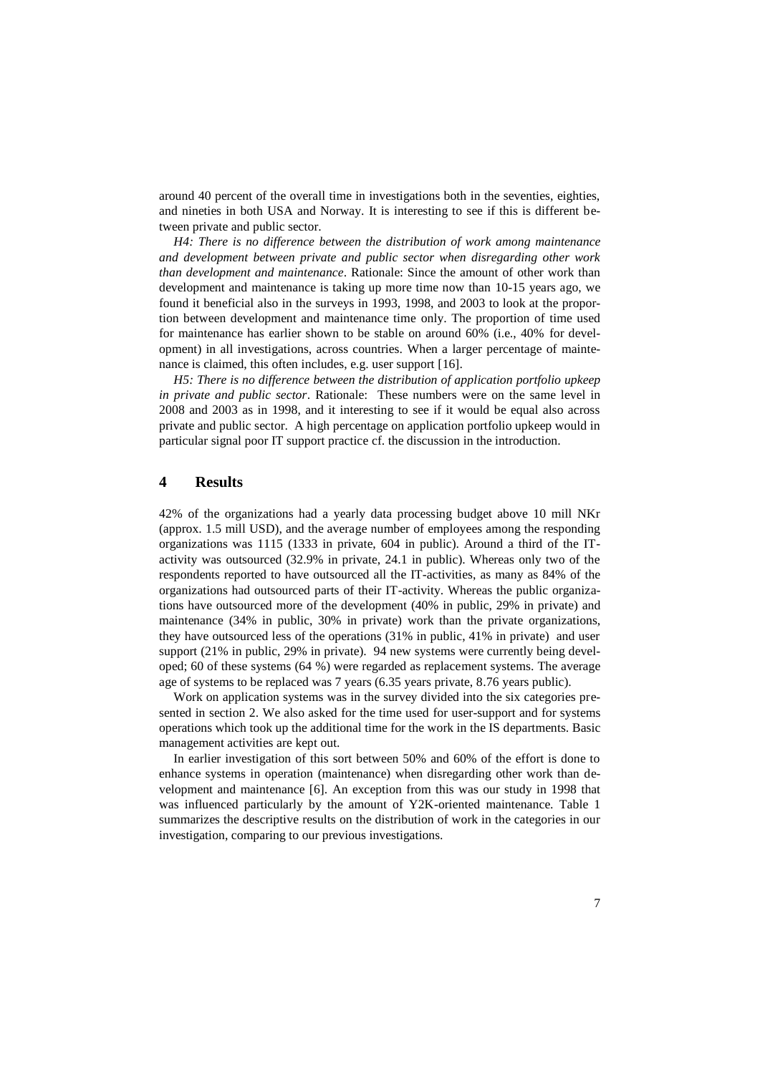around 40 percent of the overall time in investigations both in the seventies, eighties, and nineties in both USA and Norway. It is interesting to see if this is different between private and public sector.

*H4: There is no difference between the distribution of work among maintenance and development between private and public sector when disregarding other work than development and maintenance*. Rationale: Since the amount of other work than development and maintenance is taking up more time now than 10-15 years ago, we found it beneficial also in the surveys in 1993, 1998, and 2003 to look at the proportion between development and maintenance time only. The proportion of time used for maintenance has earlier shown to be stable on around 60% (i.e., 40% for development) in all investigations, across countries. When a larger percentage of maintenance is claimed, this often includes, e.g. user support [16].

*H5: There is no difference between the distribution of application portfolio upkeep in private and public sector*. Rationale: These numbers were on the same level in 2008 and 2003 as in 1998, and it interesting to see if it would be equal also across private and public sector. A high percentage on application portfolio upkeep would in particular signal poor IT support practice cf. the discussion in the introduction.

# **4 Results**

42% of the organizations had a yearly data processing budget above 10 mill NKr (approx. 1.5 mill USD), and the average number of employees among the responding organizations was 1115 (1333 in private, 604 in public). Around a third of the ITactivity was outsourced (32.9% in private, 24.1 in public). Whereas only two of the respondents reported to have outsourced all the IT-activities, as many as 84% of the organizations had outsourced parts of their IT-activity. Whereas the public organizations have outsourced more of the development (40% in public, 29% in private) and maintenance (34% in public, 30% in private) work than the private organizations, they have outsourced less of the operations (31% in public, 41% in private) and user support (21% in public, 29% in private). 94 new systems were currently being developed; 60 of these systems (64 %) were regarded as replacement systems. The average age of systems to be replaced was 7 years (6.35 years private, 8.76 years public).

Work on application systems was in the survey divided into the six categories presented in section 2. We also asked for the time used for user-support and for systems operations which took up the additional time for the work in the IS departments. Basic management activities are kept out.

In earlier investigation of this sort between 50% and 60% of the effort is done to enhance systems in operation (maintenance) when disregarding other work than development and maintenance [6]. An exception from this was our study in 1998 that was influenced particularly by the amount of Y2K-oriented maintenance. Table 1 summarizes the descriptive results on the distribution of work in the categories in our investigation, comparing to our previous investigations.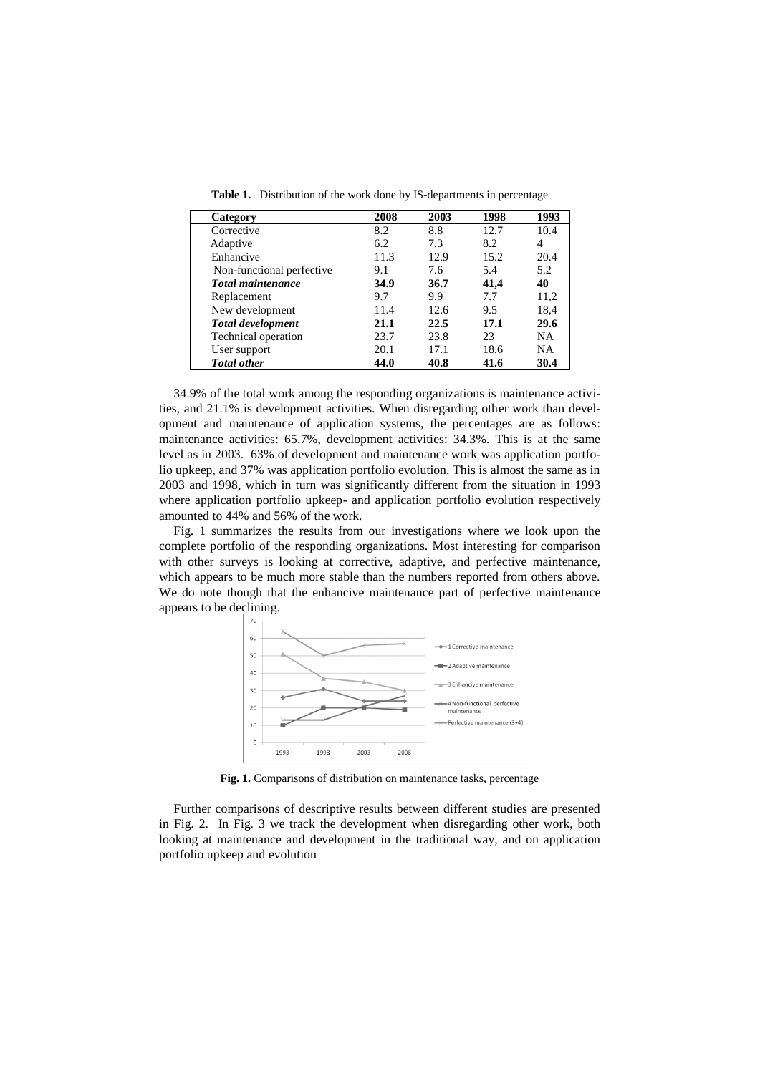| Category                  | 2008 | 2003 | 1998 | 1993      |
|---------------------------|------|------|------|-----------|
| Corrective                | 8.2  | 8.8  | 12.7 | 10.4      |
| Adaptive                  | 6.2  | 7.3  | 8.2  | 4         |
| Enhancive                 | 11.3 | 12.9 | 15.2 | 20.4      |
| Non-functional perfective | 9.1  | 7.6  | 5.4  | 5.2       |
| <b>Total maintenance</b>  | 34.9 | 36.7 | 41,4 | 40        |
| Replacement               | 9.7  | 9.9  | 7.7  | 11,2      |
| New development           | 11.4 | 12.6 | 9.5  | 18,4      |
| <b>Total development</b>  | 21.1 | 22.5 | 17.1 | 29.6      |
| Technical operation       | 23.7 | 23.8 | 23   | <b>NA</b> |
| User support              | 20.1 | 17.1 | 18.6 | <b>NA</b> |
| <b>Total</b> other        | 44.0 | 40.8 | 41.6 | 30.4      |

**Table 1.** Distribution of the work done by IS-departments in percentage

34.9% of the total work among the responding organizations is maintenance activities, and 21.1% is development activities. When disregarding other work than development and maintenance of application systems, the percentages are as follows: maintenance activities: 65.7%, development activities: 34.3%. This is at the same level as in 2003. 63% of development and maintenance work was application portfolio upkeep, and 37% was application portfolio evolution. This is almost the same as in 2003 and 1998, which in turn was significantly different from the situation in 1993 where application portfolio upkeep- and application portfolio evolution respectively amounted to 44% and 56% of the work.

Fig. 1 summarizes the results from our investigations where we look upon the complete portfolio of the responding organizations. Most interesting for comparison with other surveys is looking at corrective, adaptive, and perfective maintenance, which appears to be much more stable than the numbers reported from others above. We do note though that the enhancive maintenance part of perfective maintenance appears to be declining.



**Fig. 1.** Comparisons of distribution on maintenance tasks, percentage

Further comparisons of descriptive results between different studies are presented in Fig. 2. In Fig. 3 we track the development when disregarding other work, both looking at maintenance and development in the traditional way, and on application portfolio upkeep and evolution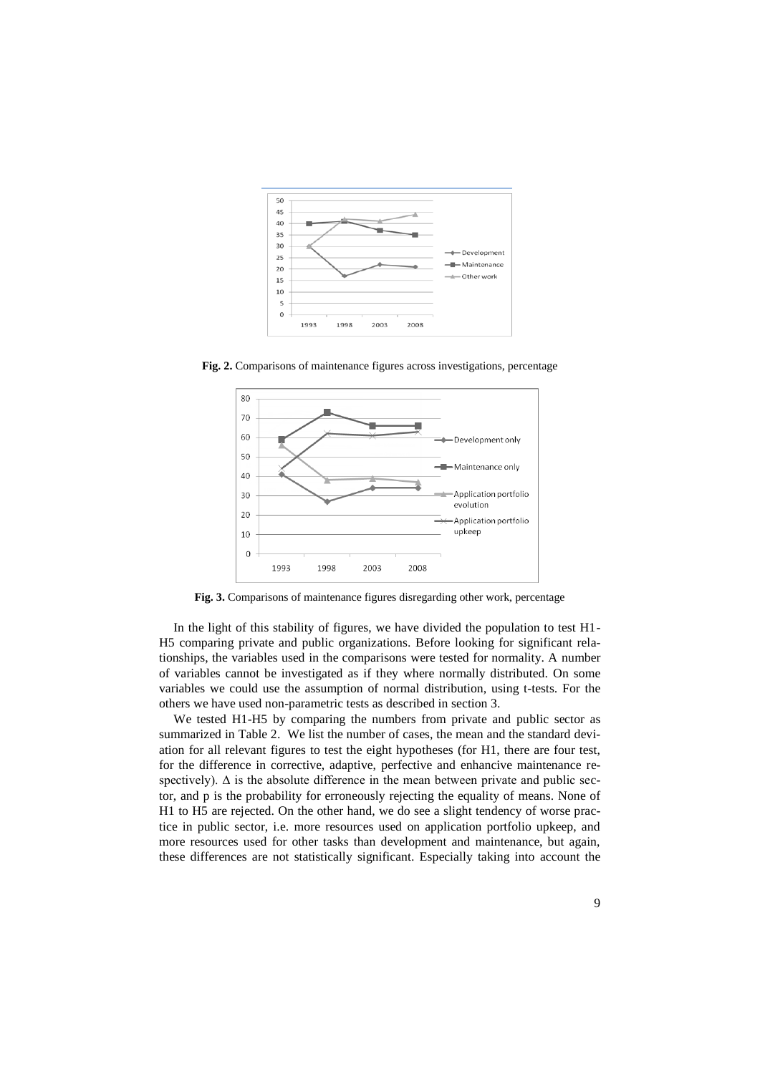

**Fig. 2.** Comparisons of maintenance figures across investigations, percentage



**Fig. 3.** Comparisons of maintenance figures disregarding other work, percentage

In the light of this stability of figures, we have divided the population to test H1- H5 comparing private and public organizations. Before looking for significant relationships, the variables used in the comparisons were tested for normality. A number of variables cannot be investigated as if they where normally distributed. On some variables we could use the assumption of normal distribution, using t-tests. For the others we have used non-parametric tests as described in section 3.

We tested H1-H5 by comparing the numbers from private and public sector as summarized in Table 2. We list the number of cases, the mean and the standard deviation for all relevant figures to test the eight hypotheses (for H1, there are four test, for the difference in corrective, adaptive, perfective and enhancive maintenance respectively).  $\Delta$  is the absolute difference in the mean between private and public sector, and p is the probability for erroneously rejecting the equality of means. None of H1 to H5 are rejected. On the other hand, we do see a slight tendency of worse practice in public sector, i.e. more resources used on application portfolio upkeep, and more resources used for other tasks than development and maintenance, but again, these differences are not statistically significant. Especially taking into account the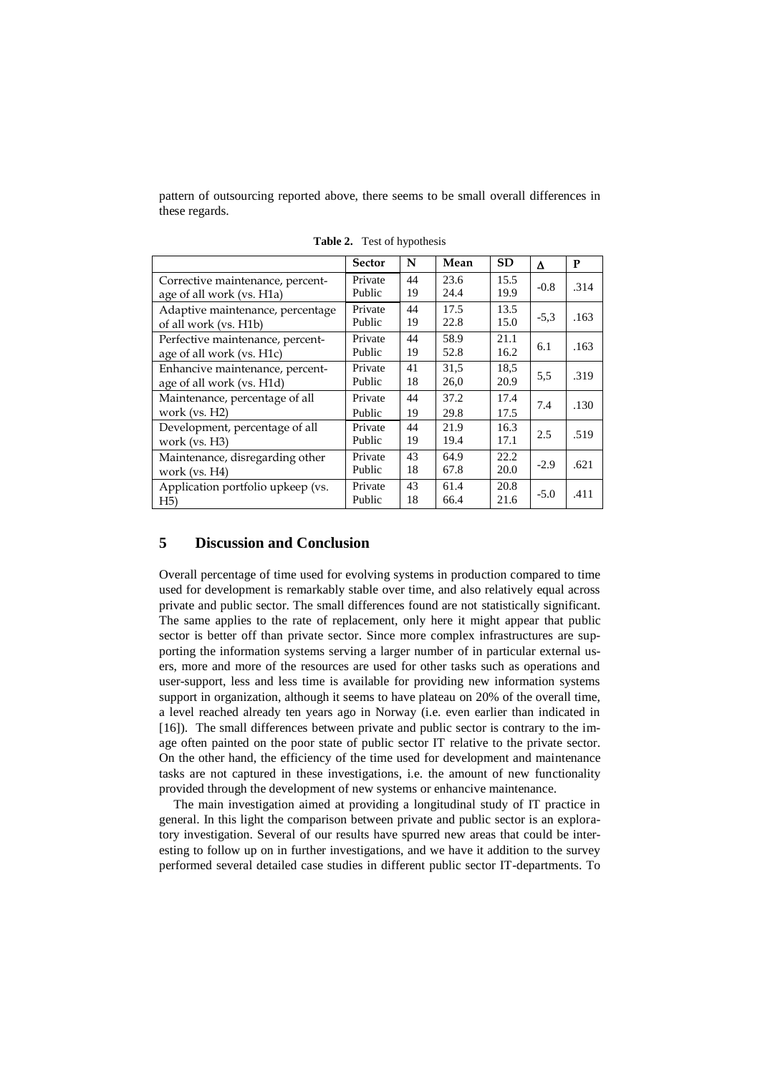pattern of outsourcing reported above, there seems to be small overall differences in these regards.

|                                                               | <b>Sector</b>     | N        | Mean         | <b>SD</b>    | Δ      | P    |
|---------------------------------------------------------------|-------------------|----------|--------------|--------------|--------|------|
| Corrective maintenance, percent-<br>age of all work (vs. H1a) | Private<br>Public | 44<br>19 | 23.6<br>24.4 | 15.5<br>19.9 | $-0.8$ | .314 |
| Adaptive maintenance, percentage<br>of all work (vs. H1b)     | Private<br>Public | 44<br>19 | 17.5<br>22.8 | 13.5<br>15.0 | $-5.3$ | .163 |
| Perfective maintenance, percent-<br>age of all work (vs. H1c) | Private<br>Public | 44<br>19 | 58.9<br>52.8 | 21.1<br>16.2 | 6.1    | .163 |
| Enhancive maintenance, percent-<br>age of all work (vs. H1d)  | Private<br>Public | 41<br>18 | 31.5<br>26,0 | 18.5<br>20.9 | 5.5    | .319 |
| Maintenance, percentage of all<br>work (vs. H2)               | Private<br>Public | 44<br>19 | 37.2<br>29.8 | 17.4<br>17.5 | 7.4    | .130 |
| Development, percentage of all<br>work (vs. $H3$ )            | Private<br>Public | 44<br>19 | 21.9<br>19.4 | 16.3<br>17.1 | 2.5    | .519 |
| Maintenance, disregarding other<br>work (vs. $H4$ )           | Private<br>Public | 43<br>18 | 64.9<br>67.8 | 22.2<br>20.0 | $-2.9$ | .621 |
| Application portfolio upkeep (vs.<br>H <sub>5</sub>           | Private<br>Public | 43<br>18 | 61.4<br>66.4 | 20.8<br>21.6 | $-5.0$ | .411 |

**Table 2.** Test of hypothesis

# **5 Discussion and Conclusion**

Overall percentage of time used for evolving systems in production compared to time used for development is remarkably stable over time, and also relatively equal across private and public sector. The small differences found are not statistically significant. The same applies to the rate of replacement, only here it might appear that public sector is better off than private sector. Since more complex infrastructures are supporting the information systems serving a larger number of in particular external users, more and more of the resources are used for other tasks such as operations and user-support, less and less time is available for providing new information systems support in organization, although it seems to have plateau on 20% of the overall time, a level reached already ten years ago in Norway (i.e. even earlier than indicated in [16]). The small differences between private and public sector is contrary to the image often painted on the poor state of public sector IT relative to the private sector. On the other hand, the efficiency of the time used for development and maintenance tasks are not captured in these investigations, i.e. the amount of new functionality provided through the development of new systems or enhancive maintenance.

The main investigation aimed at providing a longitudinal study of IT practice in general. In this light the comparison between private and public sector is an exploratory investigation. Several of our results have spurred new areas that could be interesting to follow up on in further investigations, and we have it addition to the survey performed several detailed case studies in different public sector IT-departments. To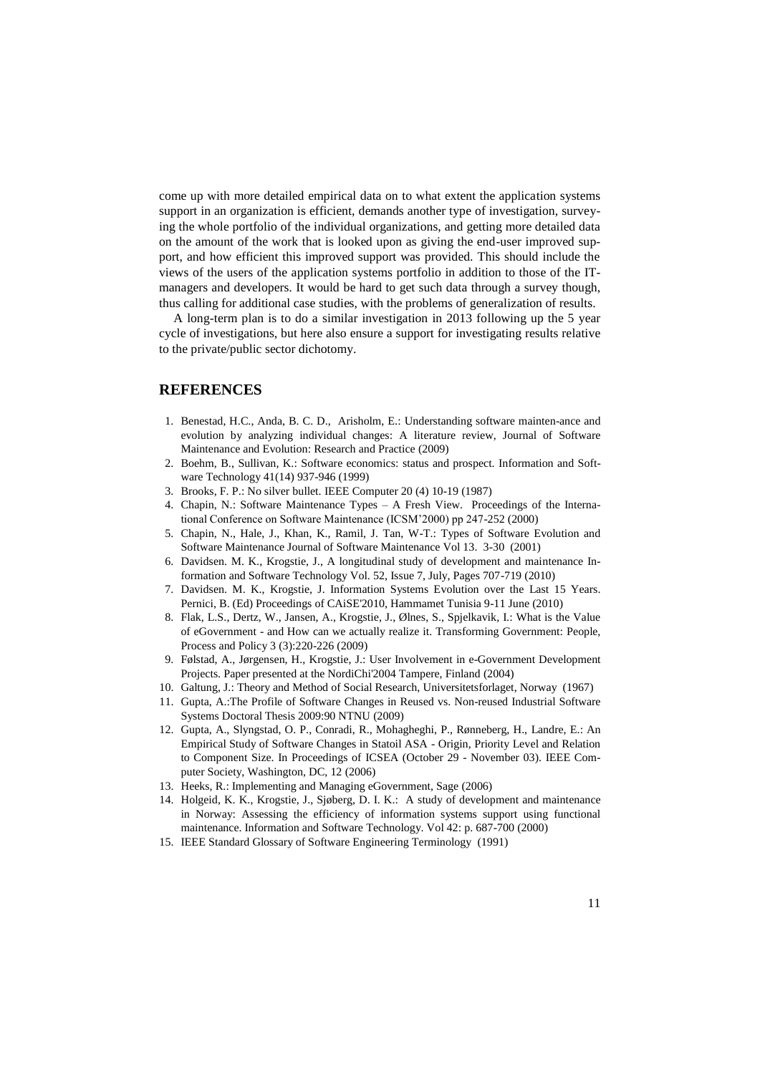come up with more detailed empirical data on to what extent the application systems support in an organization is efficient, demands another type of investigation, surveying the whole portfolio of the individual organizations, and getting more detailed data on the amount of the work that is looked upon as giving the end-user improved support, and how efficient this improved support was provided. This should include the views of the users of the application systems portfolio in addition to those of the ITmanagers and developers. It would be hard to get such data through a survey though, thus calling for additional case studies, with the problems of generalization of results.

A long-term plan is to do a similar investigation in 2013 following up the 5 year cycle of investigations, but here also ensure a support for investigating results relative to the private/public sector dichotomy.

### **REFERENCES**

- 1. Benestad, H.C., Anda, B. C. D., Arisholm, E.: Understanding software mainten-ance and evolution by analyzing individual changes: A literature review, Journal of Software Maintenance and Evolution: Research and Practice (2009)
- 2. Boehm, B., Sullivan, K.: Software economics: status and prospect. Information and Software Technology 41(14) 937-946 (1999)
- 3. Brooks, F. P.: No silver bullet. IEEE Computer 20 (4) 10-19 (1987)
- 4. Chapin, N.: Software Maintenance Types A Fresh View. Proceedings of the International Conference on Software Maintenance (ICSM'2000) pp 247-252 (2000)
- 5. Chapin, N., Hale, J., Khan, K., Ramil, J. Tan, W-T.: Types of Software Evolution and Software Maintenance Journal of Software Maintenance Vol 13. 3-30 (2001)
- 6. Davidsen. M. K., Krogstie, J., A longitudinal study of development and maintenance Information and Software Technology Vol. 52, Issue 7, July, Pages 707-719 (2010)
- 7. Davidsen. M. K., Krogstie, J. Information Systems Evolution over the Last 15 Years. Pernici, B. (Ed) Proceedings of CAiSE'2010, Hammamet Tunisia 9-11 June (2010)
- 8. Flak, L.S., Dertz, W., Jansen, A., Krogstie, J., Ølnes, S., Spjelkavik, I.: What is the Value of eGovernment - and How can we actually realize it. Transforming Government: People, Process and Policy 3 (3):220-226 (2009)
- 9. Følstad, A., Jørgensen, H., Krogstie, J.: User Involvement in e-Government Development Projects. Paper presented at the NordiChi'2004 Tampere, Finland (2004)
- 10. Galtung, J.: Theory and Method of Social Research, Universitetsforlaget, Norway (1967)
- 11. Gupta, A.:The Profile of Software Changes in Reused vs. Non-reused Industrial Software Systems Doctoral Thesis 2009:90 NTNU (2009)
- 12. Gupta, A., Slyngstad, O. P., Conradi, R., Mohagheghi, P., Rønneberg, H., Landre, E.: An Empirical Study of Software Changes in Statoil ASA - Origin, Priority Level and Relation to Component Size. In Proceedings of ICSEA (October 29 - November 03). IEEE Computer Society, Washington, DC, 12 (2006)
- 13. Heeks, R.: Implementing and Managing eGovernment, Sage (2006)
- 14. Holgeid, K. K., Krogstie, J., Sjøberg, D. I. K.: A study of development and maintenance in Norway: Assessing the efficiency of information systems support using functional maintenance. Information and Software Technology. Vol 42: p. 687-700 (2000)
- 15. IEEE Standard Glossary of Software Engineering Terminology (1991)